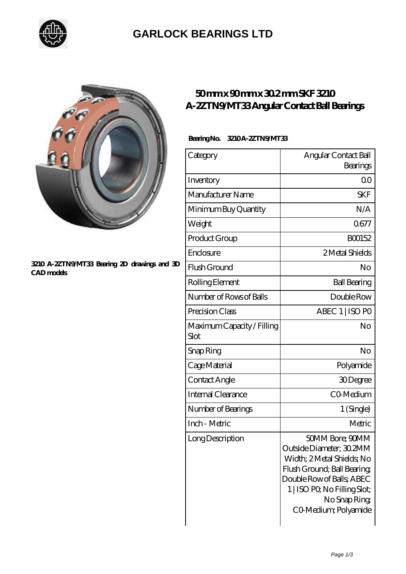

### **[GARLOCK BEARINGS LTD](https://letterstopriests.com)**



#### **[3210 A-2ZTN9/MT33 Bearing 2D drawings and 3D](https://letterstopriests.com/pic-187076.html) [CAD models](https://letterstopriests.com/pic-187076.html)**

### **[50 mm x 90 mm x 30.2 mm SKF 3210](https://letterstopriests.com/be-187076-skf-3210-a-2ztn9-mt33-angular-contact-ball-bearings.html) [A-2ZTN9/MT33 Angular Contact Ball Bearings](https://letterstopriests.com/be-187076-skf-3210-a-2ztn9-mt33-angular-contact-ball-bearings.html)**

#### **Bearing No. 3210A-2ZTN9/MT33**

| Category                                  | Angular Contact Ball<br>Bearings                                                                                                                                                                             |
|-------------------------------------------|--------------------------------------------------------------------------------------------------------------------------------------------------------------------------------------------------------------|
| Inventory                                 | 0 <sup>0</sup>                                                                                                                                                                                               |
| Manufacturer Name                         | <b>SKF</b>                                                                                                                                                                                                   |
| Minimum Buy Quantity                      | N/A                                                                                                                                                                                                          |
| Weight                                    | 0677                                                                                                                                                                                                         |
| Product Group                             | <b>BOO152</b>                                                                                                                                                                                                |
| Enclosure                                 | 2 Metal Shields                                                                                                                                                                                              |
| Flush Ground                              | No                                                                                                                                                                                                           |
| Rolling Element                           | <b>Ball Bearing</b>                                                                                                                                                                                          |
| Number of Rows of Balls                   | Double Row                                                                                                                                                                                                   |
| Precision Class                           | ABEC 1   ISO PO                                                                                                                                                                                              |
| Maximum Capacity / Filling<br><b>Slot</b> | No                                                                                                                                                                                                           |
| Snap Ring                                 | No                                                                                                                                                                                                           |
| Cage Material                             | Polyamide                                                                                                                                                                                                    |
| Contact Angle                             | 30Degree                                                                                                                                                                                                     |
| Internal Clearance                        | CO-Medium                                                                                                                                                                                                    |
| Number of Bearings                        | 1 (Single)                                                                                                                                                                                                   |
| Inch - Metric                             | Metric                                                                                                                                                                                                       |
| Long Description                          | 50MM Bore; 90MM<br>Outside Diameter; 30,2MM<br>Width; 2Metal Shields; No<br>Flush Ground; Ball Bearing;<br>Double Row of Balls; ABEC<br>1   ISO PO, No Filling Slot;<br>No Snap Ring<br>CO-Medium; Polyamide |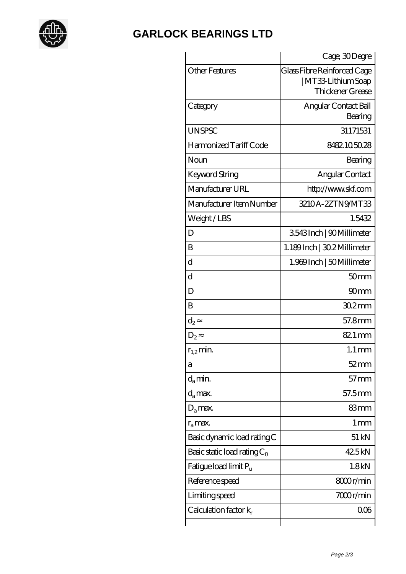

# **[GARLOCK BEARINGS LTD](https://letterstopriests.com)**

|                                   | Cage; 30Degre                                                          |
|-----------------------------------|------------------------------------------------------------------------|
| <b>Other Features</b>             | Glass Fibre Reinforced Cage<br>  MT33-Lithium Soap<br>Thickener Grease |
| Category                          | Angular Contact Ball<br>Bearing                                        |
| <b>UNSPSC</b>                     | 31171531                                                               |
| Harmonized Tariff Code            | 8482105028                                                             |
| Noun                              | Bearing                                                                |
| Keyword String                    | Angular Contact                                                        |
| Manufacturer URL                  | http://www.skf.com                                                     |
| Manufacturer Item Number          | 3210A-2ZTN9MT33                                                        |
| Weight/LBS                        | 1.5432                                                                 |
| D                                 | 3543Inch   90Millimeter                                                |
| B                                 | 1.189Inch   30.2 Millimeter                                            |
| $\rm d$                           | 1.969 Inch   50 Millimeter                                             |
| $\rm d$                           | 50 <sub>mm</sub>                                                       |
| D                                 | 90 <sub>mm</sub>                                                       |
| B                                 | $302$ mm                                                               |
| $\mathrm{d}_2$                    | 57.8mm                                                                 |
| $D_2$                             | 82.1 mm                                                                |
| $r_{12}$ min.                     | $1.1 \,\mathrm{mm}$                                                    |
| а                                 | $52$ mm                                                                |
| $d_a$ min.                        | $57$ mm                                                                |
| $d_a$ max.                        | 57.5mm                                                                 |
| $D_a$ max.                        | 83mm                                                                   |
| $r_a$ max.                        | $1 \,\mathrm{mm}$                                                      |
| Basic dynamic load rating C       | $51 \,\mathrm{kN}$                                                     |
| Basic static load rating $C_0$    | 425kN                                                                  |
| Fatigue load limit P <sub>u</sub> | 1.8kN                                                                  |
| Reference speed                   | 8000r/min                                                              |
| Limiting speed                    | 7000r/min                                                              |
| Calculation factor $k_r$          | 006                                                                    |
|                                   |                                                                        |